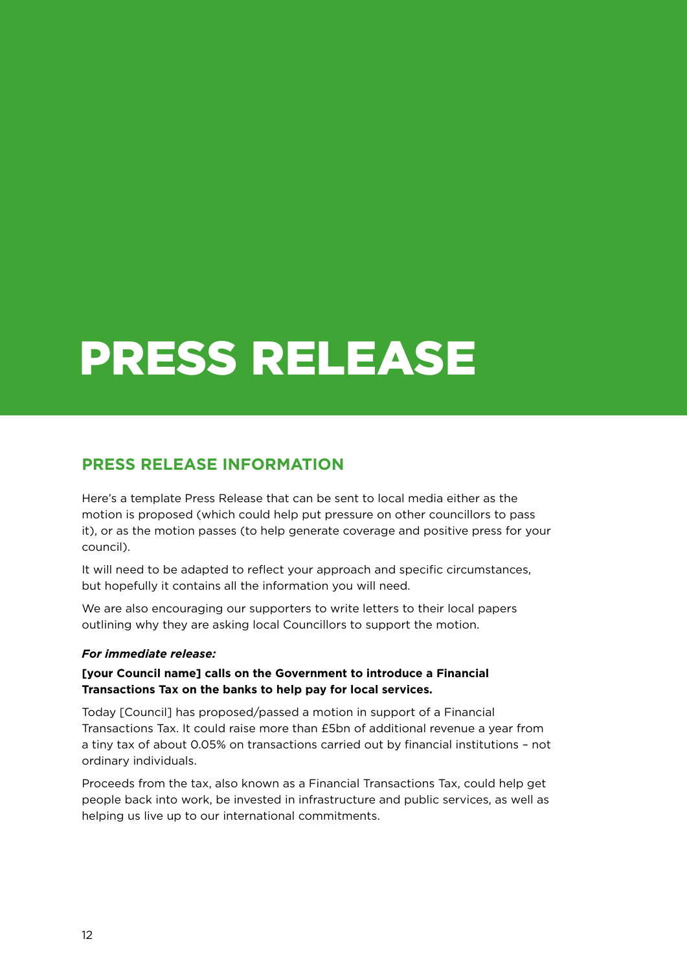# PRESS RELEASE

## **PRESS RELEASE INFORMATION**

Here's a template Press Release that can be sent to local media either as the motion is proposed (which could help put pressure on other councillors to pass it), or as the motion passes (to help generate coverage and positive press for your council).

It will need to be adapted to reflect your approach and specific circumstances, but hopefully it contains all the information you will need.

We are also encouraging our supporters to write letters to their local papers outlining why they are asking local Councillors to support the motion.

#### *For immediate release:*

### **[your Council name] calls on the Government to introduce a Financial Transactions Tax on the banks to help pay for local services.**

Today [Council] has proposed/passed a motion in support of a Financial Transactions Tax. It could raise more than £5bn of additional revenue a year from a tiny tax of about 0.05% on transactions carried out by financial institutions – not ordinary individuals.

Proceeds from the tax, also known as a Financial Transactions Tax, could help get people back into work, be invested in infrastructure and public services, as well as helping us live up to our international commitments.